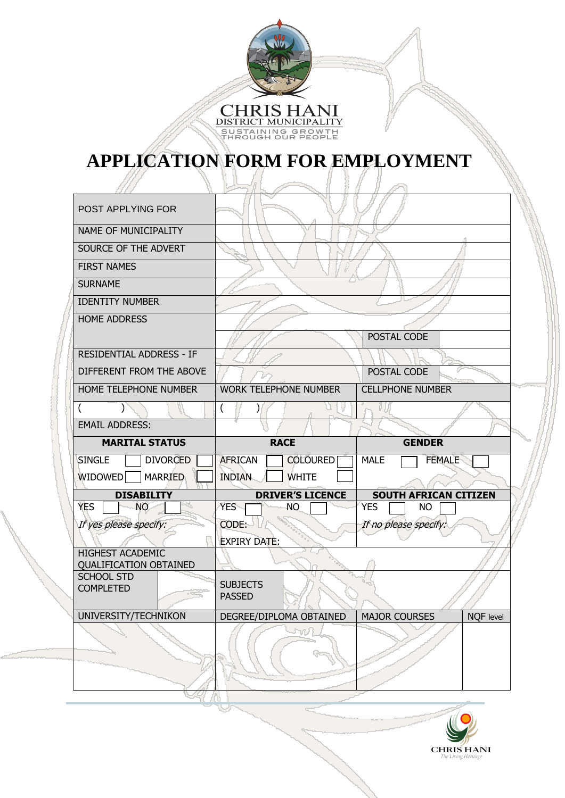

## **APPLICATION FORM FOR EMPLOYMENT**

| <b>POST APPLYING FOR</b>                                 |                                   |                                   |  |
|----------------------------------------------------------|-----------------------------------|-----------------------------------|--|
| NAME OF MUNICIPALITY                                     |                                   |                                   |  |
| SOURCE OF THE ADVERT                                     |                                   |                                   |  |
| <b>FIRST NAMES</b>                                       |                                   |                                   |  |
| <b>SURNAME</b>                                           |                                   |                                   |  |
| <b>IDENTITY NUMBER</b>                                   |                                   |                                   |  |
| <b>HOME ADDRESS</b>                                      |                                   |                                   |  |
|                                                          |                                   | POSTAL CODE                       |  |
| RESIDENTIAL ADDRESS - IF                                 |                                   |                                   |  |
| DIFFERENT FROM THE ABOVE                                 |                                   | POSTAL CODE                       |  |
| HOME TELEPHONE NUMBER                                    | <b>WORK TELEPHONE NUMBER</b>      | <b>CELLPHONE NUMBER</b>           |  |
| $\overline{ }$                                           | (                                 |                                   |  |
| <b>EMAIL ADDRESS:</b>                                    |                                   |                                   |  |
| <b>MARITAL STATUS</b>                                    | <b>RACE</b>                       | <b>GENDER</b>                     |  |
| <b>SINGLE</b><br><b>DIVORCED</b>                         | <b>AFRICAN</b><br><b>COLOURED</b> | <b>MALE</b><br><b>FEMALE</b>      |  |
| <b>WIDOWED</b><br><b>MARRIED</b>                         | <b>INDIAN</b><br><b>WHITE</b>     |                                   |  |
| <b>DISABILITY</b>                                        | <b>DRIVER'S LICENCE</b>           | <b>SOUTH AFRICAN CITIZEN</b>      |  |
| <b>NO</b><br><b>YES</b>                                  | YES.<br><b>NO</b>                 | <b>YES</b><br><b>NO</b>           |  |
| If yes please specify:                                   | CODE:                             | If no please specify:             |  |
|                                                          | <b>EXPIRY DATE:</b>               |                                   |  |
| <b>HIGHEST ACADEMIC</b><br><b>QUALIFICATION OBTAINED</b> |                                   |                                   |  |
| <b>SCHOOL STD</b><br><b>COMPLETED</b>                    | <b>SUBJECTS</b><br><b>PASSED</b>  |                                   |  |
| UNIVERSITY/TECHNIKON                                     | DEGREE/DIPLOMA OBTAINED           | MAJOR COURSES<br><b>NQF</b> level |  |
|                                                          |                                   |                                   |  |